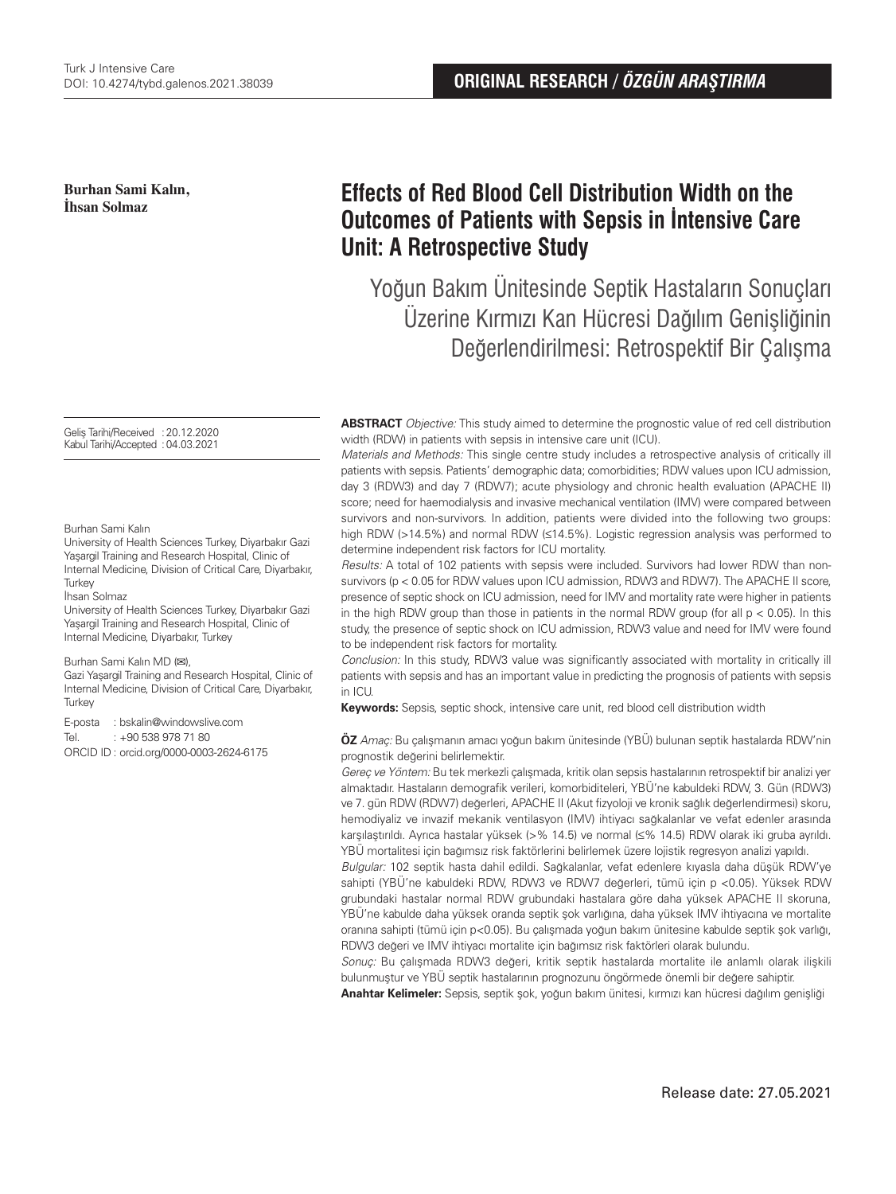**Burhan Sami Kalın, İhsan Solmaz**

Geliş Tarihi/Received :20.12.2020 Kabul Tarihi/Accepted :04.03.2021

Burhan Sami Kalın

University of Health Sciences Turkey, Diyarbakır Gazi Yaşargil Training and Research Hospital, Clinic of Internal Medicine, Division of Critical Care, Diyarbakır, **Turkey** 

#### İhsan Solmaz

University of Health Sciences Turkey, Diyarbakır Gazi Yaşargil Training and Research Hospital, Clinic of Internal Medicine, Diyarbakır, Turkey

#### Burhan Sami Kalın MD (**✉**),

Gazi Yaşargil Training and Research Hospital, Clinic of Internal Medicine, Division of Critical Care, Diyarbakır, **Turkey** 

E-posta : bskalin@windowslive.com

Tel. : +90 538 978 71 80

ORCID ID : orcid.org/0000-0003-2624-6175

# **Effects of Red Blood Cell Distribution Width on the Outcomes of Patients with Sepsis in İntensive Care Unit: A Retrospective Study**

Yoğun Bakım Ünitesinde Septik Hastaların Sonuçları Üzerine Kırmızı Kan Hücresi Dağılım Genişliğinin Değerlendirilmesi: Retrospektif Bir Çalışma

**ABSTRACT** Objective: This study aimed to determine the prognostic value of red cell distribution width (RDW) in patients with sepsis in intensive care unit (ICU).

Materials and Methods: This single centre study includes a retrospective analysis of critically ill patients with sepsis. Patients' demographic data; comorbidities; RDW values upon ICU admission, day 3 (RDW3) and day 7 (RDW7); acute physiology and chronic health evaluation (APACHE II) score; need for haemodialysis and invasive mechanical ventilation (IMV) were compared between survivors and non-survivors. In addition, patients were divided into the following two groups: high RDW (>14.5%) and normal RDW (≤14.5%). Logistic regression analysis was performed to determine independent risk factors for ICU mortality.

Results: A total of 102 patients with sepsis were included. Survivors had lower RDW than nonsurvivors (p < 0.05 for RDW values upon ICU admission, RDW3 and RDW7). The APACHE II score, presence of septic shock on ICU admission, need for IMV and mortality rate were higher in patients in the high RDW group than those in patients in the normal RDW group (for all  $p < 0.05$ ). In this study, the presence of septic shock on ICU admission, RDW3 value and need for IMV were found to be independent risk factors for mortality.

Conclusion: In this study, RDW3 value was significantly associated with mortality in critically ill patients with sepsis and has an important value in predicting the prognosis of patients with sepsis in ICU.

**Keywords:** Sepsis, septic shock, intensive care unit, red blood cell distribution width

**ÖZ** Amaç: Bu çalışmanın amacı yoğun bakım ünitesinde (YBÜ) bulunan septik hastalarda RDW'nin prognostik değerini belirlemektir.

Gereç ve Yöntem: Bu tek merkezli çalışmada, kritik olan sepsis hastalarının retrospektif bir analizi yer almaktadır. Hastaların demografik verileri, komorbiditeleri, YBÜ'ne kabuldeki RDW, 3. Gün (RDW3) ve 7. gün RDW (RDW7) değerleri, APACHE II (Akut fizyoloji ve kronik sağlık değerlendirmesi) skoru, hemodiyaliz ve invazif mekanik ventilasyon (IMV) ihtiyacı sağkalanlar ve vefat edenler arasında karşılaştırıldı. Ayrıca hastalar yüksek (>% 14.5) ve normal (≤% 14.5) RDW olarak iki gruba ayrıldı. YBÜ mortalitesi için bağımsız risk faktörlerini belirlemek üzere lojistik regresyon analizi yapıldı.

Bulgular: 102 septik hasta dahil edildi. Sağkalanlar, vefat edenlere kıyasla daha düşük RDW'ye sahipti (YBÜ'ne kabuldeki RDW, RDW3 ve RDW7 değerleri, tümü için p <0.05). Yüksek RDW grubundaki hastalar normal RDW grubundaki hastalara göre daha yüksek APACHE II skoruna, YBÜ'ne kabulde daha yüksek oranda septik şok varlığına, daha yüksek IMV ihtiyacına ve mortalite oranına sahipti (tümü için p<0.05). Bu çalışmada yoğun bakım ünitesine kabulde septik şok varlığı, RDW3 değeri ve IMV ihtiyacı mortalite için bağımsız risk faktörleri olarak bulundu.

Sonuç: Bu çalışmada RDW3 değeri, kritik septik hastalarda mortalite ile anlamlı olarak ilişkili bulunmuştur ve YBÜ septik hastalarının prognozunu öngörmede önemli bir değere sahiptir.

**Anahtar Kelimeler:** Sepsis, septik şok, yoğun bakım ünitesi, kırmızı kan hücresi dağılım genişliği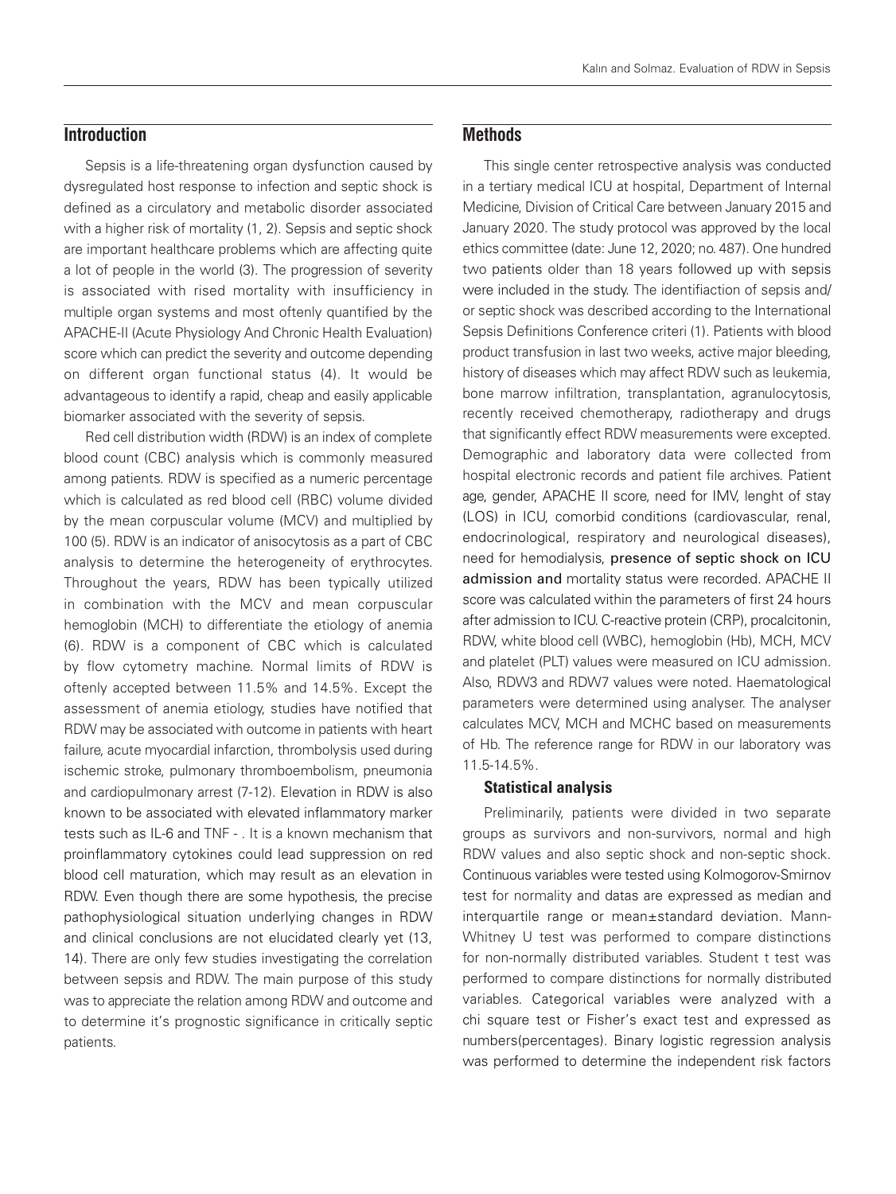# **Introduction**

Sepsis is a life-threatening organ dysfunction caused by dysregulated host response to infection and septic shock is defined as a circulatory and metabolic disorder associated with a higher risk of mortality (1, 2). Sepsis and septic shock are important healthcare problems which are affecting quite a lot of people in the world (3). The progression of severity is associated with rised mortality with insufficiency in multiple organ systems and most oftenly quantified by the APACHE-II (Acute Physiology And Chronic Health Evaluation) score which can predict the severity and outcome depending on different organ functional status (4). It would be advantageous to identify a rapid, cheap and easily applicable biomarker associated with the severity of sepsis.

Red cell distribution width (RDW) is an index of complete blood count (CBC) analysis which is commonly measured among patients. RDW is specified as a numeric percentage which is calculated as red blood cell (RBC) volume divided by the mean corpuscular volume (MCV) and multiplied by 100 (5). RDW is an indicator of anisocytosis as a part of CBC analysis to determine the heterogeneity of erythrocytes. Throughout the years, RDW has been typically utilized in combination with the MCV and mean corpuscular hemoglobin (MCH) to differentiate the etiology of anemia (6). RDW is a component of CBC which is calculated by flow cytometry machine. Normal limits of RDW is oftenly accepted between 11.5% and 14.5%. Except the assessment of anemia etiology, studies have notified that RDW may be associated with outcome in patients with heart failure, acute myocardial infarction, thrombolysis used during ischemic stroke, pulmonary thromboembolism, pneumonia and cardiopulmonary arrest (7-12). Elevation in RDW is also known to be associated with elevated inflammatory marker tests such as IL-6 and TNF - . It is a known mechanism that proinflammatory cytokines could lead suppression on red blood cell maturation, which may result as an elevation in RDW. Even though there are some hypothesis, the precise pathophysiological situation underlying changes in RDW and clinical conclusions are not elucidated clearly yet (13, 14). There are only few studies investigating the correlation between sepsis and RDW. The main purpose of this study was to appreciate the relation among RDW and outcome and to determine it's prognostic significance in critically septic patients.

# **Methods**

This single center retrospective analysis was conducted in a tertiary medical ICU at hospital, Department of Internal Medicine, Division of Critical Care between January 2015 and January 2020. The study protocol was approved by the local ethics committee (date: June 12, 2020; no. 487). One hundred two patients older than 18 years followed up with sepsis were included in the study. The identifiaction of sepsis and/ or septic shock was described according to the International Sepsis Definitions Conference criteri (1). Patients with blood product transfusion in last two weeks, active major bleeding, history of diseases which may affect RDW such as leukemia, bone marrow infiltration, transplantation, agranulocytosis, recently received chemotherapy, radiotherapy and drugs that significantly effect RDW measurements were excepted. Demographic and laboratory data were collected from hospital electronic records and patient file archives. Patient age, gender, APACHE II score, need for IMV, lenght of stay (LOS) in ICU, comorbid conditions (cardiovascular, renal, endocrinological, respiratory and neurological diseases), need for hemodialysis, presence of septic shock on ICU admission and mortality status were recorded. APACHE II score was calculated within the parameters of first 24 hours after admission to ICU. C-reactive protein (CRP), procalcitonin, RDW, white blood cell (WBC), hemoglobin (Hb), MCH, MCV and platelet (PLT) values were measured on ICU admission. Also, RDW3 and RDW7 values were noted. Haematological parameters were determined using analyser. The analyser calculates MCV, MCH and MCHC based on measurements of Hb. The reference range for RDW in our laboratory was 11.5-14.5%.

#### Statistical analysis

Preliminarily, patients were divided in two separate groups as survivors and non-survivors, normal and high RDW values and also septic shock and non-septic shock. Continuous variables were tested using Kolmogorov-Smirnov test for normality and datas are expressed as median and interquartile range or mean±standard deviation. Mann-Whitney U test was performed to compare distinctions for non-normally distributed variables. Student t test was performed to compare distinctions for normally distributed variables. Categorical variables were analyzed with a chi square test or Fisher's exact test and expressed as numbers(percentages). Binary logistic regression analysis was performed to determine the independent risk factors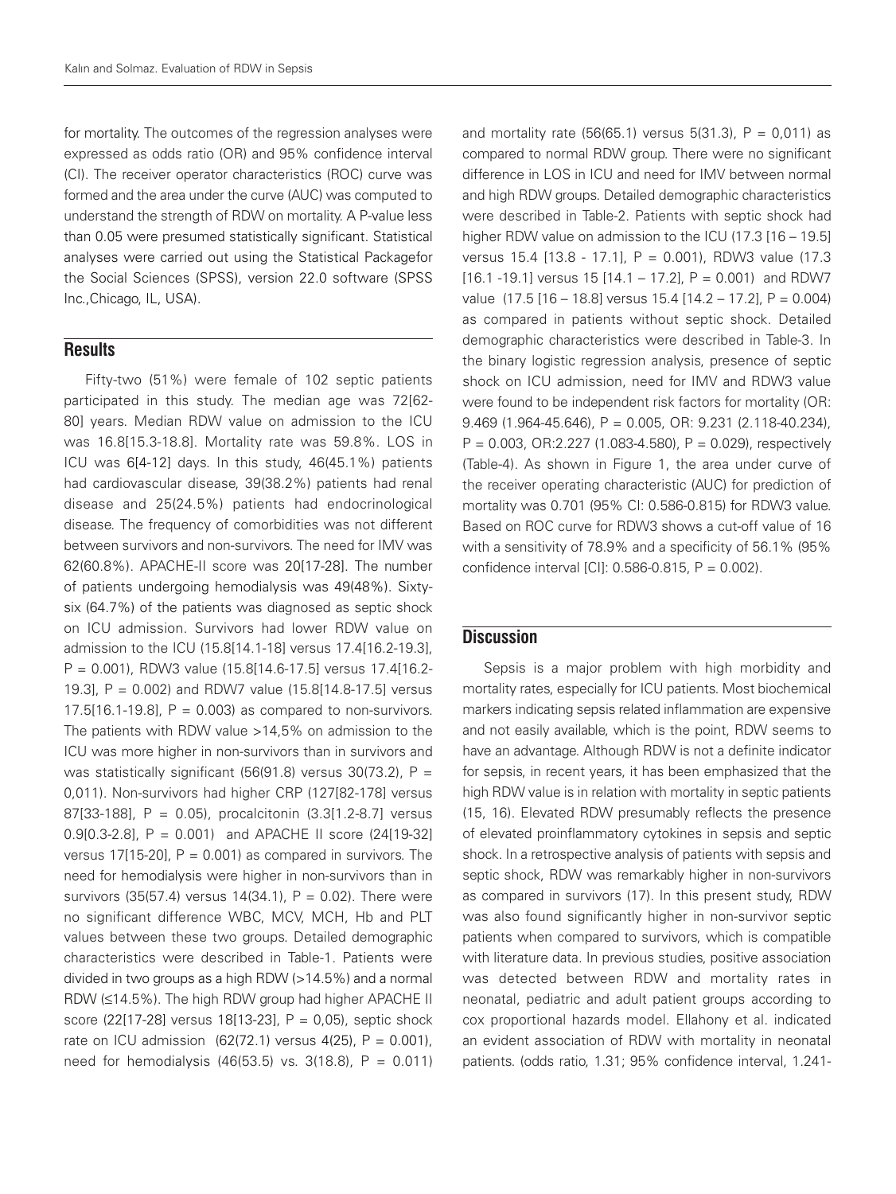for mortality. The outcomes of the regression analyses were expressed as odds ratio (OR) and 95% confidence interval (CI). The receiver operator characteristics (ROC) curve was formed and the area under the curve (AUC) was computed to understand the strength of RDW on mortality. A P-value less than 0.05 were presumed statistically significant. Statistical analyses were carried out using the Statistical Packagefor the Social Sciences (SPSS), version 22.0 software (SPSS Inc.,Chicago, IL, USA).

### **Results**

Fifty-two (51%) were female of 102 septic patients participated in this study. The median age was 72[62- 80] years. Median RDW value on admission to the ICU was 16.8[15.3-18.8]. Mortality rate was 59.8%. LOS in ICU was 6[4-12] days. In this study, 46(45.1%) patients had cardiovascular disease, 39(38.2%) patients had renal disease and 25(24.5%) patients had endocrinological disease. The frequency of comorbidities was not different between survivors and non-survivors. The need for IMV was 62(60.8%). APACHE-II score was 20[17-28]. The number of patients undergoing hemodialysis was 49(48%). Sixtysix (64.7%) of the patients was diagnosed as septic shock on ICU admission. Survivors had lower RDW value on admission to the ICU (15.8[14.1-18] versus 17.4[16.2-19.3], P = 0.001), RDW3 value (15.8[14.6-17.5] versus 17.4[16.2- 19.3], P = 0.002) and RDW7 value (15.8[14.8-17.5] versus 17.5 $[16.1 - 19.8]$ ,  $P = 0.003$ ) as compared to non-survivors. The patients with RDW value >14,5% on admission to the ICU was more higher in non-survivors than in survivors and was statistically significant (56(91.8) versus 30(73.2),  $P =$ 0,011). Non-survivors had higher CRP (127[82-178] versus 87[33-188], P = 0.05), procalcitonin (3.3[1.2-8.7] versus 0.9[0.3-2.8], P = 0.001) and APACHE II score (24[19-32] versus 17[15-20],  $P = 0.001$ ) as compared in survivors. The need for hemodialysis were higher in non-survivors than in survivors (35(57.4) versus 14(34.1),  $P = 0.02$ ). There were no significant difference WBC, MCV, MCH, Hb and PLT values between these two groups. Detailed demographic characteristics were described in Table-1. Patients were divided in two groups as a high RDW (>14.5%) and a normal RDW (≤14.5%). The high RDW group had higher APACHE II score (22[17-28] versus 18[13-23], P = 0,05), septic shock rate on ICU admission  $(62(72.1)$  versus 4(25), P = 0.001), need for hemodialysis  $(46(53.5) \text{ vs. } 3(18.8), P = 0.011)$ 

and mortality rate  $(56(65.1)$  versus  $5(31.3)$ ,  $P = 0.011$ ) as compared to normal RDW group. There were no significant difference in LOS in ICU and need for IMV between normal and high RDW groups. Detailed demographic characteristics were described in Table-2. Patients with septic shock had higher RDW value on admission to the ICU (17.3 [16 – 19.5] versus 15.4 [13.8 - 17.1], P = 0.001), RDW3 value (17.3 [16.1 -19.1] versus 15 [14.1 – 17.2],  $P = 0.001$ ) and RDW7 value (17.5 [16 – 18.8] versus 15.4 [14.2 – 17.2], P = 0.004) as compared in patients without septic shock. Detailed demographic characteristics were described in Table-3. In the binary logistic regression analysis, presence of septic shock on ICU admission, need for IMV and RDW3 value were found to be independent risk factors for mortality (OR: 9.469 (1.964-45.646), P = 0.005, OR: 9.231 (2.118-40.234),  $P = 0.003$ , OR:2.227 (1.083-4.580),  $P = 0.029$ ), respectively (Table-4). As shown in Figure 1, the area under curve of the receiver operating characteristic (AUC) for prediction of mortality was 0.701 (95% CI: 0.586-0.815) for RDW3 value. Based on ROC curve for RDW3 shows a cut-off value of 16 with a sensitivity of 78.9% and a specificity of 56.1% (95% confidence interval [CI]:  $0.586 - 0.815$ ,  $P = 0.002$ ).

# **Discussion**

Sepsis is a major problem with high morbidity and mortality rates, especially for ICU patients. Most biochemical markers indicating sepsis related inflammation are expensive and not easily available, which is the point, RDW seems to have an advantage. Although RDW is not a definite indicator for sepsis, in recent years, it has been emphasized that the high RDW value is in relation with mortality in septic patients (15, 16). Elevated RDW presumably reflects the presence of elevated proinflammatory cytokines in sepsis and septic shock. In a retrospective analysis of patients with sepsis and septic shock, RDW was remarkably higher in non-survivors as compared in survivors (17). In this present study, RDW was also found significantly higher in non-survivor septic patients when compared to survivors, which is compatible with literature data. In previous studies, positive association was detected between RDW and mortality rates in neonatal, pediatric and adult patient groups according to cox proportional hazards model. Ellahony et al. indicated an evident association of RDW with mortality in neonatal patients. (odds ratio, 1.31; 95% confidence interval, 1.241-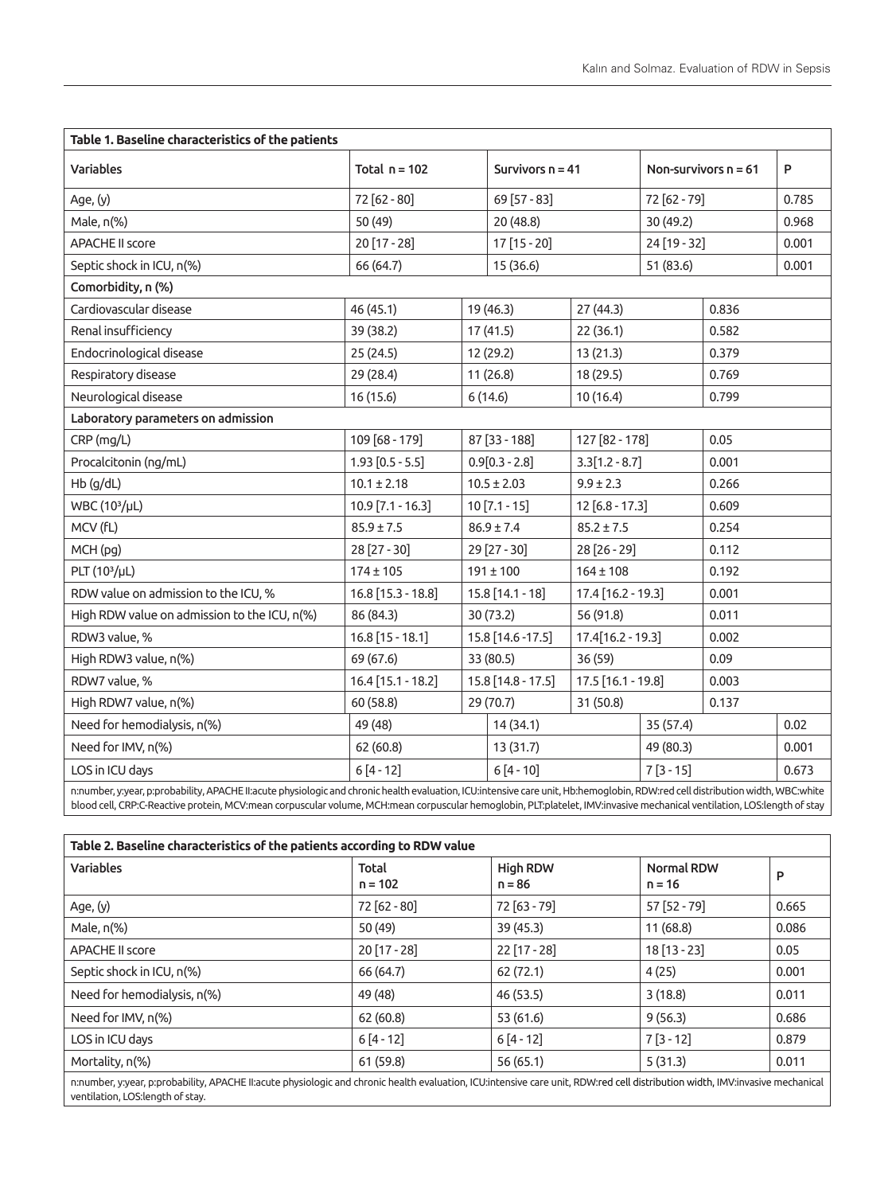| Table 1. Baseline characteristics of the patients |                   |          |                                                                                                                                                                                                                                                                              |                    |                                                                                                     |                        |
|---------------------------------------------------|-------------------|----------|------------------------------------------------------------------------------------------------------------------------------------------------------------------------------------------------------------------------------------------------------------------------------|--------------------|-----------------------------------------------------------------------------------------------------|------------------------|
| Total $n = 102$                                   |                   |          |                                                                                                                                                                                                                                                                              |                    |                                                                                                     | P                      |
| 72 [62 - 80]                                      | 69 [57 - 83]      |          |                                                                                                                                                                                                                                                                              | 72 [62 - 79]       |                                                                                                     | 0.785                  |
| 50 (49)                                           | 20 (48.8)         |          |                                                                                                                                                                                                                                                                              | 30 (49.2)          |                                                                                                     | 0.968                  |
| 20 [17 - 28]                                      | 17 [15 - 20]      |          |                                                                                                                                                                                                                                                                              | 24 [19 - 32]       |                                                                                                     | 0.001                  |
| 66 (64.7)                                         | 15 (36.6)         |          |                                                                                                                                                                                                                                                                              | 51 (83.6)          |                                                                                                     | 0.001                  |
|                                                   |                   |          |                                                                                                                                                                                                                                                                              |                    |                                                                                                     |                        |
| 46 (45.1)                                         |                   |          | 27 (44.3)                                                                                                                                                                                                                                                                    |                    | 0.836                                                                                               |                        |
| 39 (38.2)                                         |                   |          | 22(36.1)                                                                                                                                                                                                                                                                     |                    | 0.582                                                                                               |                        |
| 25(24.5)                                          |                   |          | 13(21.3)                                                                                                                                                                                                                                                                     |                    | 0.379                                                                                               |                        |
| 29 (28.4)                                         |                   |          | 18 (29.5)                                                                                                                                                                                                                                                                    |                    | 0.769                                                                                               |                        |
| 16 (15.6)                                         |                   | 10(16.4) |                                                                                                                                                                                                                                                                              |                    | 0.799                                                                                               |                        |
|                                                   |                   |          |                                                                                                                                                                                                                                                                              |                    |                                                                                                     |                        |
| 109 [68 - 179]                                    |                   |          |                                                                                                                                                                                                                                                                              |                    | 0.05                                                                                                |                        |
| $1.93$ $[0.5 - 5.5]$                              |                   |          |                                                                                                                                                                                                                                                                              |                    | 0.001                                                                                               |                        |
| $10.1 \pm 2.18$                                   |                   |          | $9.9 \pm 2.3$                                                                                                                                                                                                                                                                |                    | 0.266                                                                                               |                        |
| $10.9$ [7.1 - 16.3]                               |                   |          |                                                                                                                                                                                                                                                                              |                    | 0.609                                                                                               |                        |
| $85.9 \pm 7.5$                                    |                   |          | $85.2 \pm 7.5$                                                                                                                                                                                                                                                               |                    | 0.254                                                                                               |                        |
| 28 [27 - 30]                                      |                   |          | 28 [26 - 29]                                                                                                                                                                                                                                                                 |                    | 0.112                                                                                               |                        |
| $174 \pm 105$                                     |                   |          | $164 \pm 108$                                                                                                                                                                                                                                                                |                    | 0.192                                                                                               |                        |
| $16.8$ [15.3 - 18.8]                              |                   |          |                                                                                                                                                                                                                                                                              |                    | 0.001                                                                                               |                        |
| 86 (84.3)                                         |                   |          | 56 (91.8)                                                                                                                                                                                                                                                                    |                    | 0.011                                                                                               |                        |
| $16.8$ [15 - 18.1]                                | 15.8 [14.6 -17.5] |          | $17.4[16.2 - 19.3]$                                                                                                                                                                                                                                                          |                    | 0.002                                                                                               |                        |
| 69 (67.6)                                         |                   |          | 36(59)                                                                                                                                                                                                                                                                       |                    | 0.09                                                                                                |                        |
| 16.4 [15.1 - 18.2]                                |                   |          |                                                                                                                                                                                                                                                                              |                    | 0.003                                                                                               |                        |
| 60 (58.8)                                         |                   |          | 31 (50.8)                                                                                                                                                                                                                                                                    |                    | 0.137                                                                                               |                        |
| 49 (48)                                           |                   | 14(34.1) |                                                                                                                                                                                                                                                                              | 35 (57.4)          |                                                                                                     | 0.02                   |
| 62(60.8)                                          |                   | 13(31.7) | 49 (80.3)                                                                                                                                                                                                                                                                    |                    |                                                                                                     | 0.001                  |
| $6[4-12]$                                         | $6[4 - 10]$       |          |                                                                                                                                                                                                                                                                              | $7[3 - 15]$        |                                                                                                     | 0.673                  |
|                                                   |                   |          | 19 (46.3)<br>17 (41.5)<br>12 (29.2)<br>11 (26.8)<br>6(14.6)<br>87 [33 - 188]<br>$0.9[0.3 - 2.8]$<br>$10.5 \pm 2.03$<br>$10$ [7.1 - 15]<br>$86.9 \pm 7.4$<br>29 [27 - 30]<br>$191 \pm 100$<br>$15.8$ [14.1 - 18]<br>30 (73.2)<br>33 (80.5)<br>15.8 [14.8 - 17.5]<br>29 (70.7) | Survivors $n = 41$ | 127 [82 - 178]<br>$3.3[1.2 - 8.7]$<br>$12 [6.8 - 17.3]$<br>17.4 [16.2 - 19.3]<br>17.5 [16.1 - 19.8] | Non-survivors $n = 61$ |

n:number, y:year, p:probability, APACHE II:acute physiologic and chronic health evaluation, ICU:intensive care unit, Hb:hemoglobin, RDW:red cell distribution width, WBC:white blood cell, CRP:C-Reactive protein, MCV:mean corpuscular volume, MCH:mean corpuscular hemoglobin, PLT:platelet, IMV:invasive mechanical ventilation, LOS:length of stay

| Table 2. Baseline characteristics of the patients according to RDW value                                                                                                      |                    |                             |                               |       |  |
|-------------------------------------------------------------------------------------------------------------------------------------------------------------------------------|--------------------|-----------------------------|-------------------------------|-------|--|
| <b>Variables</b>                                                                                                                                                              | Total<br>$n = 102$ | <b>High RDW</b><br>$n = 86$ | <b>Normal RDW</b><br>$n = 16$ | P     |  |
| Age, (y)                                                                                                                                                                      | $72 [62 - 80]$     | $72 [63 - 79]$              | 57 [52 - 79]                  | 0.665 |  |
| Male, $n\frac{9}{6}$                                                                                                                                                          | 50 (49)            | 39 (45.3)                   | 11(68.8)                      | 0.086 |  |
| <b>APACHE II score</b>                                                                                                                                                        | $20[17-28]$        | $22$ [17 - 28]              | $18[13-23]$                   | 0.05  |  |
| Septic shock in ICU, n(%)                                                                                                                                                     | 66 (64.7)          | 62 (72.1)                   | 4(25)                         | 0.001 |  |
| Need for hemodialysis, n(%)                                                                                                                                                   | 49 (48)            | 46 (53.5)                   | 3(18.8)                       | 0.011 |  |
| Need for IMV, n(%)                                                                                                                                                            | 62(60.8)           | 53 (61.6)                   | 9(56.3)                       | 0.686 |  |
| LOS in ICU days                                                                                                                                                               | $6[4-12]$          | $6[4-12]$                   | $7[3-12]$                     | 0.879 |  |
| Mortality, n(%)                                                                                                                                                               | 61 (59.8)          | 56(65.1)                    | 5(31.3)                       | 0.011 |  |
| n:number, y:year, p:probability, APACHE II:acute physiologic and chronic health evaluation, ICU:intensive care unit, RDW:red cell distribution width, IMV:invasive mechanical |                    |                             |                               |       |  |

n:number, y:year, p:probability, APACHE II:acute physiologic and chronic health evaluation, ICU:intensive care unit, RDW:red cell distribution width, IMV:invasive mechanical ventilation, LOS:length of stay.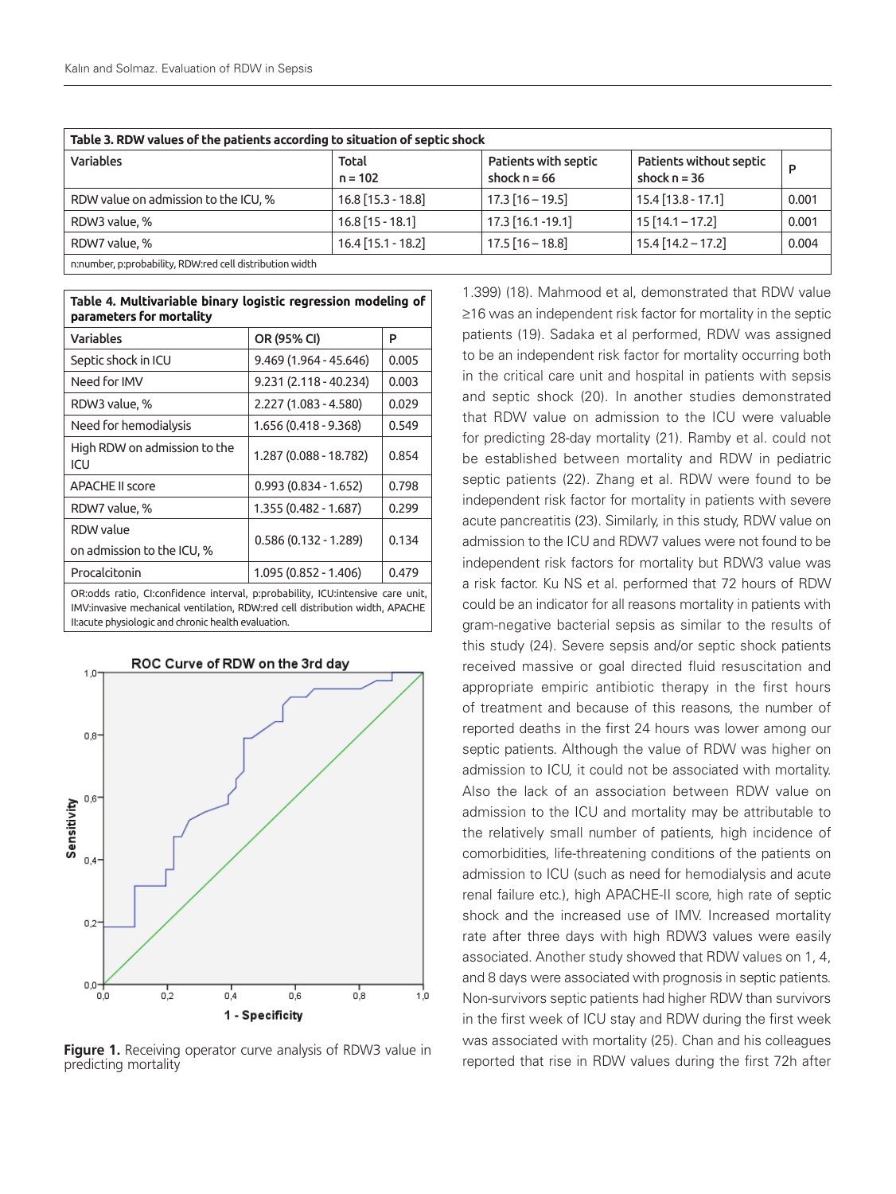| Table 3. RDW values of the patients according to situation of septic shock |                      |                                        |                                           |       |  |
|----------------------------------------------------------------------------|----------------------|----------------------------------------|-------------------------------------------|-------|--|
| <b>Variables</b>                                                           | Total<br>$n = 102$   | Patients with septic<br>shock $n = 66$ | Patients without septic<br>shock $n = 36$ | D     |  |
| RDW value on admission to the ICU, %                                       | $16.8$ [15.3 - 18.8] | $17.3$ [16 - 19.5]                     | $15.4$ [13.8 - 17.1]                      | 0.001 |  |
| RDW3 value, %                                                              | $16.8$ [15 - 18.1]   | $17.3$ [16.1 -19.1]                    | $15$ [14.1 - 17.2]                        | 0.001 |  |
| RDW7 value, %                                                              | $16.4$ [15.1 - 18.2] | $17.5$ [16 - 18.8]                     | $15.4$ [14.2 – 17.2]                      | 0.004 |  |
| n:number, p:probability, RDW:red cell distribution width                   |                      |                                        |                                           |       |  |

| Table 4. Multivariable binary logistic regression modeling of<br>parameters for mortality |                        |       |  |  |  |
|-------------------------------------------------------------------------------------------|------------------------|-------|--|--|--|
| <b>Variables</b>                                                                          | OR (95% CI)            | P     |  |  |  |
| Septic shock in ICU                                                                       | 9.469 (1.964 - 45.646) | 0.005 |  |  |  |
| Need for IMV                                                                              | 9.231 (2.118 - 40.234) | 0.003 |  |  |  |
| RDW3 value, %                                                                             | 2.227 (1.083 - 4.580)  | 0.029 |  |  |  |
| Need for hemodialysis                                                                     | 1.656 (0.418 - 9.368)  | 0.549 |  |  |  |
| High RDW on admission to the<br>ICU                                                       | 1.287 (0.088 - 18.782) | 0.854 |  |  |  |
| <b>APACHE II score</b>                                                                    | $0.993(0.834 - 1.652)$ | 0.798 |  |  |  |
| RDW7 value, %                                                                             | 1.355 (0.482 - 1.687)  | 0.299 |  |  |  |
| RDW value                                                                                 | $0.586(0.132 - 1.289)$ | 0.134 |  |  |  |
| on admission to the ICU, %                                                                |                        |       |  |  |  |
| Procalcitonin                                                                             | 1.095 (0.852 - 1.406)  | 0.479 |  |  |  |
| OR:odds ratio, CI:confidence interval, p:probability, ICU:intensive care unit,            |                        |       |  |  |  |

IMV:invasive mechanical ventilation, RDW:red cell distribution width, APACHE II:acute physiologic and chronic health evaluation.



ROC Curve of RDW on the 3rd day

**Figure 1.** Receiving operator curve analysis of RDW3 value in predicting mortality

1.399) (18). Mahmood et al, demonstrated that RDW value ≥16 was an independent risk factor for mortality in the septic patients (19). Sadaka et al performed, RDW was assigned to be an independent risk factor for mortality occurring both in the critical care unit and hospital in patients with sepsis and septic shock (20). In another studies demonstrated that RDW value on admission to the ICU were valuable for predicting 28-day mortality (21). Ramby et al. could not be established between mortality and RDW in pediatric septic patients (22). Zhang et al. RDW were found to be independent risk factor for mortality in patients with severe acute pancreatitis (23). Similarly, in this study, RDW value on admission to the ICU and RDW7 values were not found to be independent risk factors for mortality but RDW3 value was a risk factor. Ku NS et al. performed that 72 hours of RDW could be an indicator for all reasons mortality in patients with gram-negative bacterial sepsis as similar to the results of this study (24). Severe sepsis and/or septic shock patients received massive or goal directed fluid resuscitation and appropriate empiric antibiotic therapy in the first hours of treatment and because of this reasons, the number of reported deaths in the first 24 hours was lower among our septic patients. Although the value of RDW was higher on admission to ICU, it could not be associated with mortality. Also the lack of an association between RDW value on admission to the ICU and mortality may be attributable to the relatively small number of patients, high incidence of comorbidities, life-threatening conditions of the patients on admission to ICU (such as need for hemodialysis and acute renal failure etc.), high APACHE-II score, high rate of septic shock and the increased use of IMV. Increased mortality rate after three days with high RDW3 values were easily associated. Another study showed that RDW values on 1, 4, and 8 days were associated with prognosis in septic patients. Non-survivors septic patients had higher RDW than survivors in the first week of ICU stay and RDW during the first week was associated with mortality (25). Chan and his colleagues reported that rise in RDW values during the first 72h after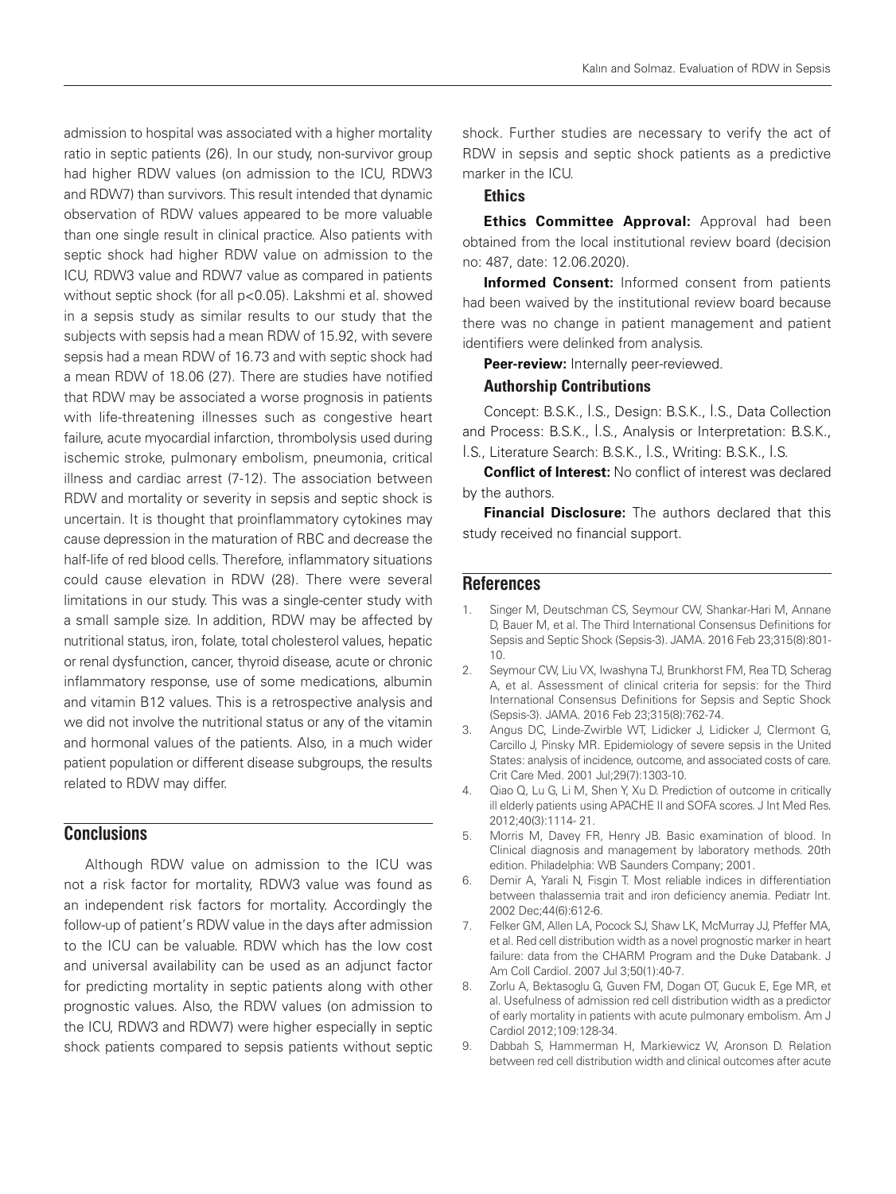admission to hospital was associated with a higher mortality ratio in septic patients (26). In our study, non-survivor group had higher RDW values (on admission to the ICU, RDW3 and RDW7) than survivors. This result intended that dynamic observation of RDW values appeared to be more valuable than one single result in clinical practice. Also patients with septic shock had higher RDW value on admission to the ICU, RDW3 value and RDW7 value as compared in patients without septic shock (for all p<0.05). Lakshmi et al. showed in a sepsis study as similar results to our study that the subjects with sepsis had a mean RDW of 15.92, with severe sepsis had a mean RDW of 16.73 and with septic shock had a mean RDW of 18.06 (27). There are studies have notified that RDW may be associated a worse prognosis in patients with life-threatening illnesses such as congestive heart failure, acute myocardial infarction, thrombolysis used during ischemic stroke, pulmonary embolism, pneumonia, critical illness and cardiac arrest (7-12). The association between RDW and mortality or severity in sepsis and septic shock is uncertain. It is thought that proinflammatory cytokines may cause depression in the maturation of RBC and decrease the half-life of red blood cells. Therefore, inflammatory situations could cause elevation in RDW (28). There were several limitations in our study. This was a single-center study with a small sample size. In addition, RDW may be affected by nutritional status, iron, folate, total cholesterol values, hepatic or renal dysfunction, cancer, thyroid disease, acute or chronic inflammatory response, use of some medications, albumin and vitamin B12 values. This is a retrospective analysis and we did not involve the nutritional status or any of the vitamin and hormonal values of the patients. Also, in a much wider patient population or different disease subgroups, the results related to RDW may differ.

# **Conclusions**

Although RDW value on admission to the ICU was not a risk factor for mortality, RDW3 value was found as an independent risk factors for mortality. Accordingly the follow-up of patient's RDW value in the days after admission to the ICU can be valuable. RDW which has the low cost and universal availability can be used as an adjunct factor for predicting mortality in septic patients along with other prognostic values. Also, the RDW values (on admission to the ICU, RDW3 and RDW7) were higher especially in septic shock patients compared to sepsis patients without septic shock. Further studies are necessary to verify the act of RDW in sepsis and septic shock patients as a predictive marker in the ICU.

# **Ethics**

**Ethics Committee Approval:** Approval had been obtained from the local institutional review board (decision no: 487, date: 12.06.2020).

**Informed Consent:** Informed consent from patients had been waived by the institutional review board because there was no change in patient management and patient identifiers were delinked from analysis.

**Peer-review:** Internally peer-reviewed.

#### Authorship Contributions

Concept: B.S.K., İ.S., Design: B.S.K., İ.S., Data Collection and Process: B.S.K., İ.S., Analysis or Interpretation: B.S.K.,

İ.S., Literature Search: B.S.K., İ.S., Writing: B.S.K., İ.S.

**Conflict of Interest:** No conflict of interest was declared by the authors.

**Financial Disclosure:** The authors declared that this study received no financial support.

## **References**

- 1. Singer M, Deutschman CS, Seymour CW, Shankar-Hari M, Annane D, Bauer M, et al. The Third International Consensus Definitions for Sepsis and Septic Shock (Sepsis-3). JAMA. 2016 Feb 23;315(8):801- 10.
- 2. Seymour CW, Liu VX, Iwashyna TJ, Brunkhorst FM, Rea TD, Scherag A, et al. Assessment of clinical criteria for sepsis: for the Third International Consensus Definitions for Sepsis and Septic Shock (Sepsis-3). JAMA. 2016 Feb 23;315(8):762-74.
- 3. Angus DC, Linde-Zwirble WT, Lidicker J, Lidicker J, Clermont G, Carcillo J, Pinsky MR. Epidemiology of severe sepsis in the United States: analysis of incidence, outcome, and associated costs of care. Crit Care Med. 2001 Jul;29(7):1303-10.
- 4. Qiao Q, Lu G, Li M, Shen Y, Xu D. Prediction of outcome in critically ill elderly patients using APACHE II and SOFA scores. J Int Med Res. 2012;40(3):1114- 21.
- 5. Morris M, Davey FR, Henry JB. Basic examination of blood. In Clinical diagnosis and management by laboratory methods. 20th edition. Philadelphia: WB Saunders Company; 2001.
- 6. Demir A, Yarali N, Fisgin T. Most reliable indices in differentiation between thalassemia trait and iron deficiency anemia. Pediatr Int. 2002 Dec;44(6):612-6.
- 7. Felker GM, Allen LA, Pocock SJ, Shaw LK, McMurray JJ, Pfeffer MA, et al. Red cell distribution width as a novel prognostic marker in heart failure: data from the CHARM Program and the Duke Databank. J Am Coll Cardiol. 2007 Jul 3;50(1):40-7.
- 8. Zorlu A, Bektasoglu G, Guven FM, Dogan OT, Gucuk E, Ege MR, et al. Usefulness of admission red cell distribution width as a predictor of early mortality in patients with acute pulmonary embolism. Am J Cardiol 2012;109:128-34.
- 9. Dabbah S, Hammerman H, Markiewicz W, Aronson D. Relation between red cell distribution width and clinical outcomes after acute